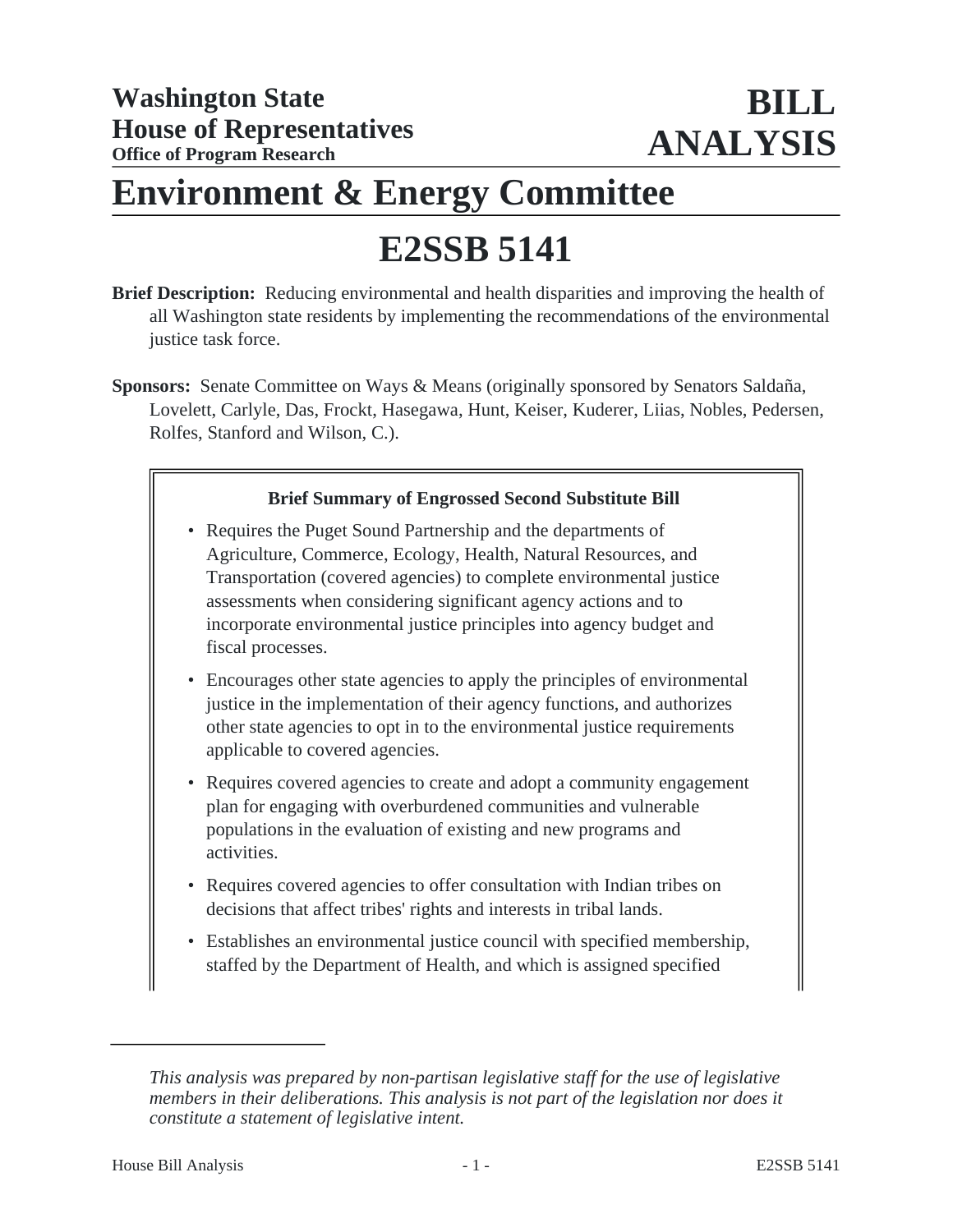# **Environment & Energy Committee**

# **E2SSB 5141**

- **Brief Description:** Reducing environmental and health disparities and improving the health of all Washington state residents by implementing the recommendations of the environmental justice task force.
- **Sponsors:** Senate Committee on Ways & Means (originally sponsored by Senators Saldaña, Lovelett, Carlyle, Das, Frockt, Hasegawa, Hunt, Keiser, Kuderer, Liias, Nobles, Pedersen, Rolfes, Stanford and Wilson, C.).

# **Brief Summary of Engrossed Second Substitute Bill**

- Requires the Puget Sound Partnership and the departments of Agriculture, Commerce, Ecology, Health, Natural Resources, and Transportation (covered agencies) to complete environmental justice assessments when considering significant agency actions and to incorporate environmental justice principles into agency budget and fiscal processes.
- Encourages other state agencies to apply the principles of environmental justice in the implementation of their agency functions, and authorizes other state agencies to opt in to the environmental justice requirements applicable to covered agencies.
- Requires covered agencies to create and adopt a community engagement plan for engaging with overburdened communities and vulnerable populations in the evaluation of existing and new programs and activities.
- Requires covered agencies to offer consultation with Indian tribes on decisions that affect tribes' rights and interests in tribal lands.
- Establishes an environmental justice council with specified membership, staffed by the Department of Health, and which is assigned specified

*This analysis was prepared by non-partisan legislative staff for the use of legislative members in their deliberations. This analysis is not part of the legislation nor does it constitute a statement of legislative intent.*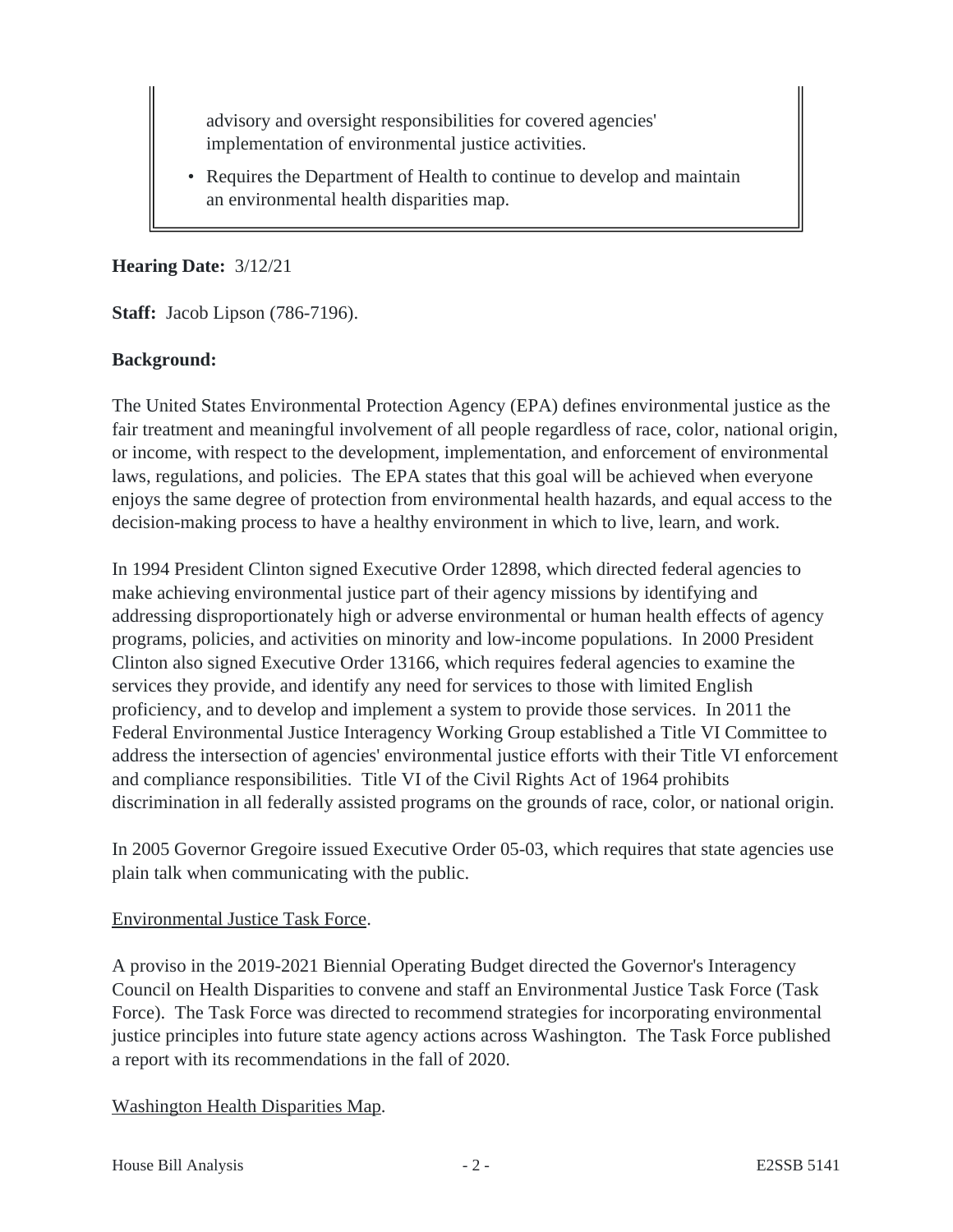advisory and oversight responsibilities for covered agencies' implementation of environmental justice activities.

• Requires the Department of Health to continue to develop and maintain an environmental health disparities map.

#### **Hearing Date:** 3/12/21

**Staff:** Jacob Lipson (786-7196).

# **Background:**

The United States Environmental Protection Agency (EPA) defines environmental justice as the fair treatment and meaningful involvement of all people regardless of race, color, national origin, or income, with respect to the development, implementation, and enforcement of environmental laws, regulations, and policies. The EPA states that this goal will be achieved when everyone enjoys the same degree of protection from environmental health hazards, and equal access to the decision-making process to have a healthy environment in which to live, learn, and work.

In 1994 President Clinton signed Executive Order 12898, which directed federal agencies to make achieving environmental justice part of their agency missions by identifying and addressing disproportionately high or adverse environmental or human health effects of agency programs, policies, and activities on minority and low-income populations. In 2000 President Clinton also signed Executive Order 13166, which requires federal agencies to examine the services they provide, and identify any need for services to those with limited English proficiency, and to develop and implement a system to provide those services. In 2011 the Federal Environmental Justice Interagency Working Group established a Title VI Committee to address the intersection of agencies' environmental justice efforts with their Title VI enforcement and compliance responsibilities. Title VI of the Civil Rights Act of 1964 prohibits discrimination in all federally assisted programs on the grounds of race, color, or national origin.

In 2005 Governor Gregoire issued Executive Order 05-03, which requires that state agencies use plain talk when communicating with the public.

#### Environmental Justice Task Force.

A proviso in the 2019-2021 Biennial Operating Budget directed the Governor's Interagency Council on Health Disparities to convene and staff an Environmental Justice Task Force (Task Force). The Task Force was directed to recommend strategies for incorporating environmental justice principles into future state agency actions across Washington. The Task Force published a report with its recommendations in the fall of 2020.

# Washington Health Disparities Map.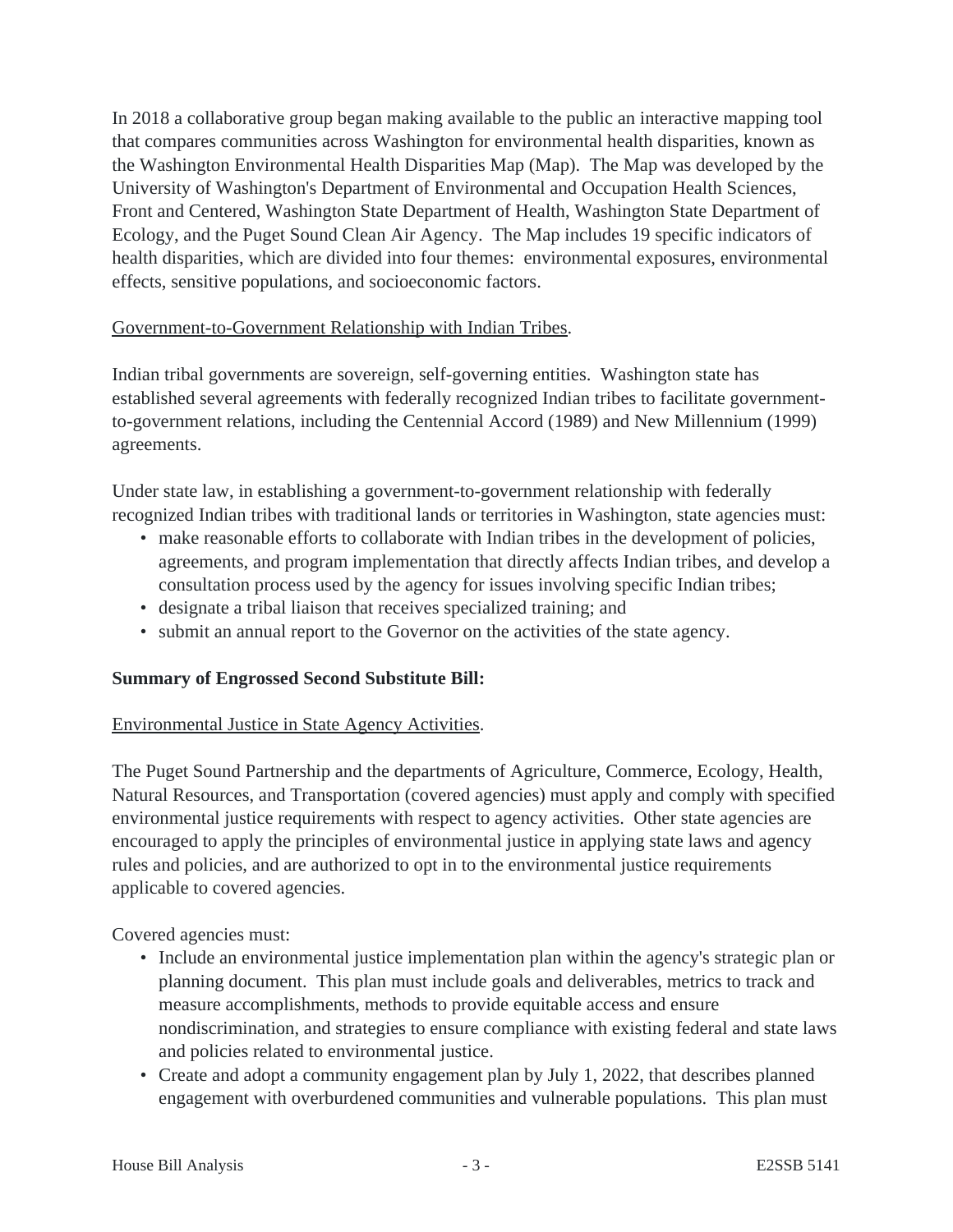In 2018 a collaborative group began making available to the public an interactive mapping tool that compares communities across Washington for environmental health disparities, known as the Washington Environmental Health Disparities Map (Map). The Map was developed by the University of Washington's Department of Environmental and Occupation Health Sciences, Front and Centered, Washington State Department of Health, Washington State Department of Ecology, and the Puget Sound Clean Air Agency. The Map includes 19 specific indicators of health disparities, which are divided into four themes: environmental exposures, environmental effects, sensitive populations, and socioeconomic factors.

# Government-to-Government Relationship with Indian Tribes.

Indian tribal governments are sovereign, self-governing entities. Washington state has established several agreements with federally recognized Indian tribes to facilitate governmentto-government relations, including the Centennial Accord (1989) and New Millennium (1999) agreements.

Under state law, in establishing a government-to-government relationship with federally recognized Indian tribes with traditional lands or territories in Washington, state agencies must:

- make reasonable efforts to collaborate with Indian tribes in the development of policies, agreements, and program implementation that directly affects Indian tribes, and develop a consultation process used by the agency for issues involving specific Indian tribes;
- designate a tribal liaison that receives specialized training; and
- submit an annual report to the Governor on the activities of the state agency.

# **Summary of Engrossed Second Substitute Bill:**

# Environmental Justice in State Agency Activities.

The Puget Sound Partnership and the departments of Agriculture, Commerce, Ecology, Health, Natural Resources, and Transportation (covered agencies) must apply and comply with specified environmental justice requirements with respect to agency activities. Other state agencies are encouraged to apply the principles of environmental justice in applying state laws and agency rules and policies, and are authorized to opt in to the environmental justice requirements applicable to covered agencies.

Covered agencies must:

- Include an environmental justice implementation plan within the agency's strategic plan or planning document. This plan must include goals and deliverables, metrics to track and measure accomplishments, methods to provide equitable access and ensure nondiscrimination, and strategies to ensure compliance with existing federal and state laws and policies related to environmental justice.
- Create and adopt a community engagement plan by July 1, 2022, that describes planned engagement with overburdened communities and vulnerable populations. This plan must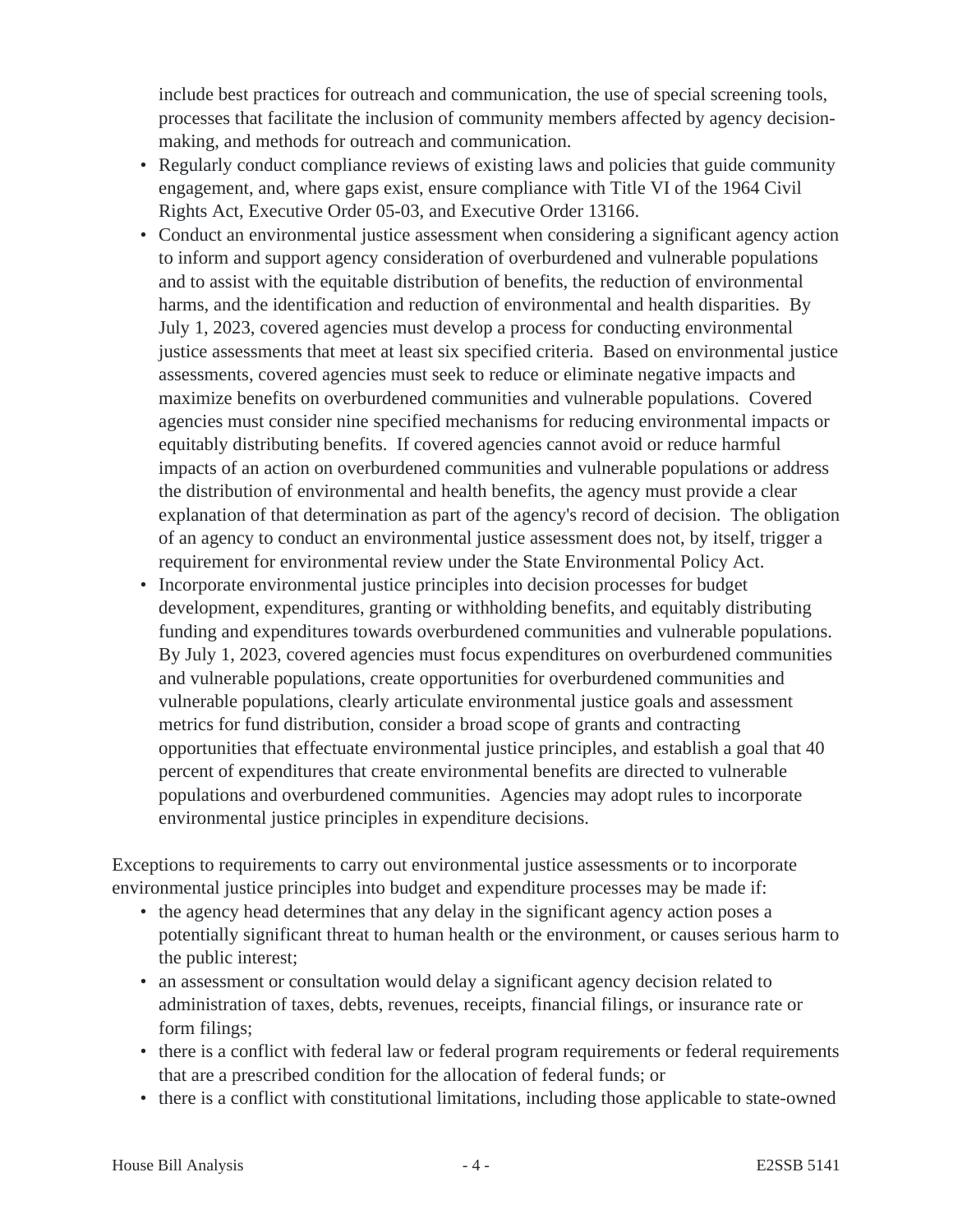include best practices for outreach and communication, the use of special screening tools, processes that facilitate the inclusion of community members affected by agency decisionmaking, and methods for outreach and communication.

- Regularly conduct compliance reviews of existing laws and policies that guide community engagement, and, where gaps exist, ensure compliance with Title VI of the 1964 Civil Rights Act, Executive Order 05-03, and Executive Order 13166.
- Conduct an environmental justice assessment when considering a significant agency action to inform and support agency consideration of overburdened and vulnerable populations and to assist with the equitable distribution of benefits, the reduction of environmental harms, and the identification and reduction of environmental and health disparities. By July 1, 2023, covered agencies must develop a process for conducting environmental justice assessments that meet at least six specified criteria. Based on environmental justice assessments, covered agencies must seek to reduce or eliminate negative impacts and maximize benefits on overburdened communities and vulnerable populations. Covered agencies must consider nine specified mechanisms for reducing environmental impacts or equitably distributing benefits. If covered agencies cannot avoid or reduce harmful impacts of an action on overburdened communities and vulnerable populations or address the distribution of environmental and health benefits, the agency must provide a clear explanation of that determination as part of the agency's record of decision. The obligation of an agency to conduct an environmental justice assessment does not, by itself, trigger a requirement for environmental review under the State Environmental Policy Act.
- Incorporate environmental justice principles into decision processes for budget development, expenditures, granting or withholding benefits, and equitably distributing funding and expenditures towards overburdened communities and vulnerable populations. By July 1, 2023, covered agencies must focus expenditures on overburdened communities and vulnerable populations, create opportunities for overburdened communities and vulnerable populations, clearly articulate environmental justice goals and assessment metrics for fund distribution, consider a broad scope of grants and contracting opportunities that effectuate environmental justice principles, and establish a goal that 40 percent of expenditures that create environmental benefits are directed to vulnerable populations and overburdened communities. Agencies may adopt rules to incorporate environmental justice principles in expenditure decisions.

Exceptions to requirements to carry out environmental justice assessments or to incorporate environmental justice principles into budget and expenditure processes may be made if:

- the agency head determines that any delay in the significant agency action poses a potentially significant threat to human health or the environment, or causes serious harm to the public interest;
- an assessment or consultation would delay a significant agency decision related to administration of taxes, debts, revenues, receipts, financial filings, or insurance rate or form filings;
- there is a conflict with federal law or federal program requirements or federal requirements that are a prescribed condition for the allocation of federal funds; or
- there is a conflict with constitutional limitations, including those applicable to state-owned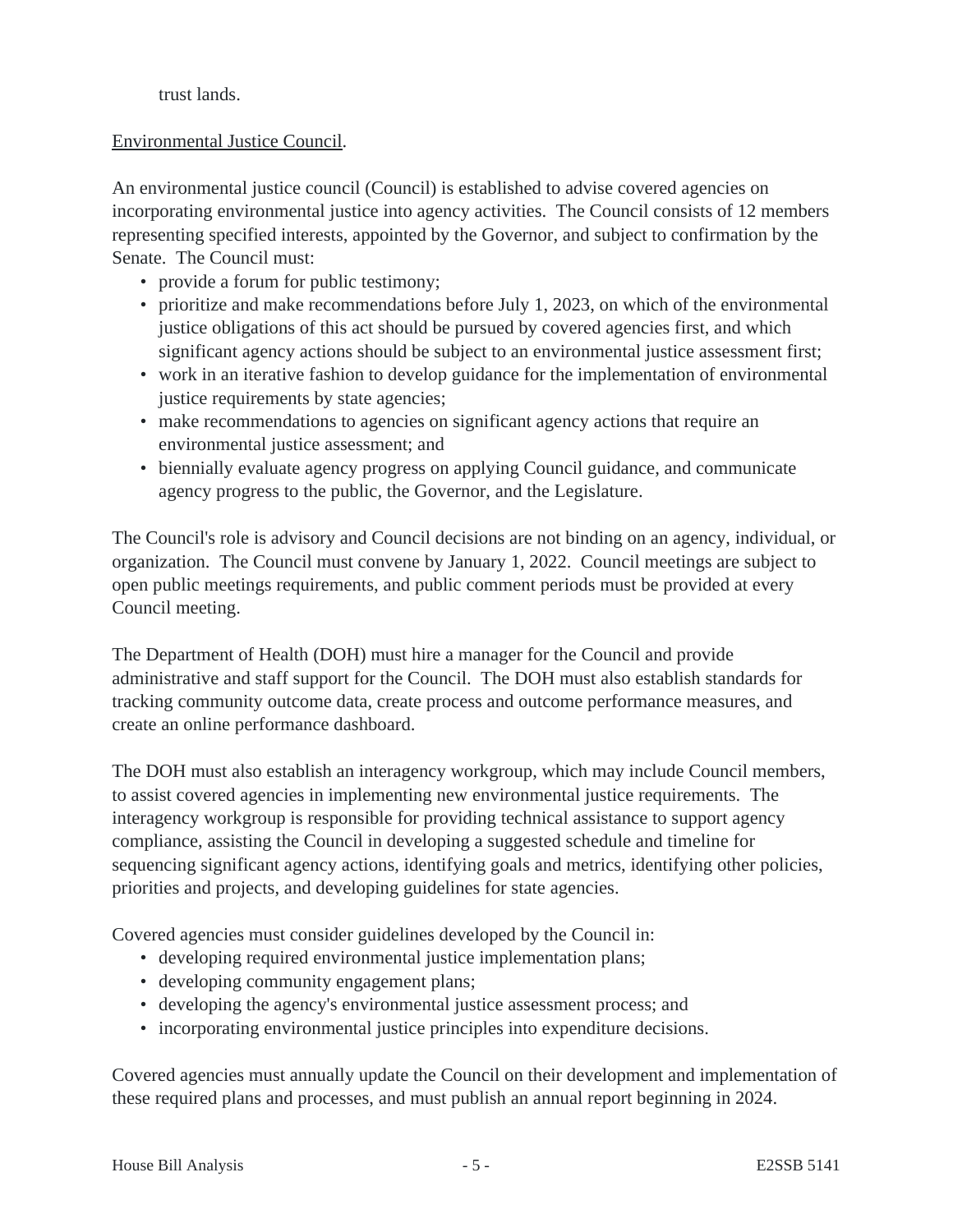#### trust lands.

#### Environmental Justice Council.

An environmental justice council (Council) is established to advise covered agencies on incorporating environmental justice into agency activities. The Council consists of 12 members representing specified interests, appointed by the Governor, and subject to confirmation by the Senate. The Council must:

- provide a forum for public testimony;
- prioritize and make recommendations before July 1, 2023, on which of the environmental justice obligations of this act should be pursued by covered agencies first, and which significant agency actions should be subject to an environmental justice assessment first;
- work in an iterative fashion to develop guidance for the implementation of environmental justice requirements by state agencies;
- make recommendations to agencies on significant agency actions that require an environmental justice assessment; and
- biennially evaluate agency progress on applying Council guidance, and communicate agency progress to the public, the Governor, and the Legislature.

The Council's role is advisory and Council decisions are not binding on an agency, individual, or organization. The Council must convene by January 1, 2022. Council meetings are subject to open public meetings requirements, and public comment periods must be provided at every Council meeting.

The Department of Health (DOH) must hire a manager for the Council and provide administrative and staff support for the Council. The DOH must also establish standards for tracking community outcome data, create process and outcome performance measures, and create an online performance dashboard.

The DOH must also establish an interagency workgroup, which may include Council members, to assist covered agencies in implementing new environmental justice requirements. The interagency workgroup is responsible for providing technical assistance to support agency compliance, assisting the Council in developing a suggested schedule and timeline for sequencing significant agency actions, identifying goals and metrics, identifying other policies, priorities and projects, and developing guidelines for state agencies.

Covered agencies must consider guidelines developed by the Council in:

- developing required environmental justice implementation plans;
- developing community engagement plans;
- developing the agency's environmental justice assessment process; and
- incorporating environmental justice principles into expenditure decisions.

Covered agencies must annually update the Council on their development and implementation of these required plans and processes, and must publish an annual report beginning in 2024.